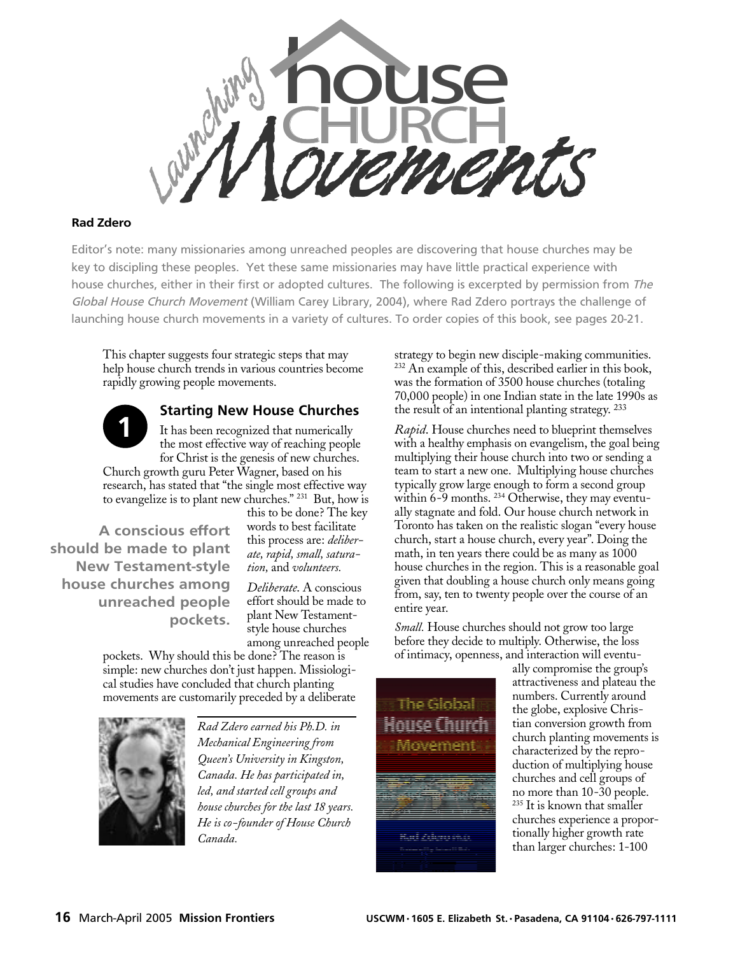

#### **Rad Zdero**

Editor's note: many missionaries among unreached peoples are discovering that house churches may be key to discipling these peoples. Yet these same missionaries may have little practical experience with house churches, either in their first or adopted cultures. The following is excerpted by permission from The Global House Church Movement (William Carey Library, 2004), where Rad Zdero portrays the challenge of launching house church movements in a variety of cultures. To order copies of this book, see pages 20-21.

This chapter suggests four strategic steps that may help house church trends in various countries become rapidly growing people movements.



## **Starting New House Churches**

It has been recognized that numerically the most effective way of reaching people for Christ is the genesis of new churches. Church growth guru Peter Wagner, based on his research, has stated that "the single most effective way

to evangelize is to plant new churches." 231 But, how is this to be done? The key

**A conscious effort should be made to plant New Testament-style house churches among unreached people pockets.**

words to best facilitate this process are: *deliberate, rapid, small, saturation,* and *volunteers.*

*Deliberate*. A conscious effort should be made to plant New Testamentstyle house churches among unreached people

pockets. Why should this be done? The reason is simple: new churches don't just happen. Missiological studies have concluded that church planting movements are customarily preceded by a deliberate



*Rad Zdero earned his Ph.D. in Mechanical Engineering from Queen's University in Kingston, Canada. He has participated in, led, and started cell groups and house churches for the last 18 years. He is co-founder of House Church Canada.*

strategy to begin new disciple-making communities. 232 An example of this, described earlier in this book, was the formation of 3500 house churches (totaling 70,000 people) in one Indian state in the late 1990s as the result of an intentional planting strategy. 233

*Rapid*. House churches need to blueprint themselves with a healthy emphasis on evangelism, the goal being multiplying their house church into two or sending a team to start a new one. Multiplying house churches typically grow large enough to form a second group within 6-9 months. 234 Otherwise, they may eventually stagnate and fold. Our house church network in Toronto has taken on the realistic slogan "every house church, start a house church, every year". Doing the math, in ten years there could be as many as 1000 house churches in the region. This is a reasonable goal given that doubling a house church only means going from, say, ten to twenty people over the course of an entire year.

*Small.* House churches should not grow too large before they decide to multiply. Otherwise, the loss of intimacy, openness, and interaction will eventu-



ally compromise the group's attractiveness and plateau the numbers. Currently around the globe, explosive Christian conversion growth from church planting movements is characterized by the reproduction of multiplying house churches and cell groups of no more than 10-30 people. <sup>235</sup> It is known that smaller churches experience a proportionally higher growth rate than larger churches: 1-100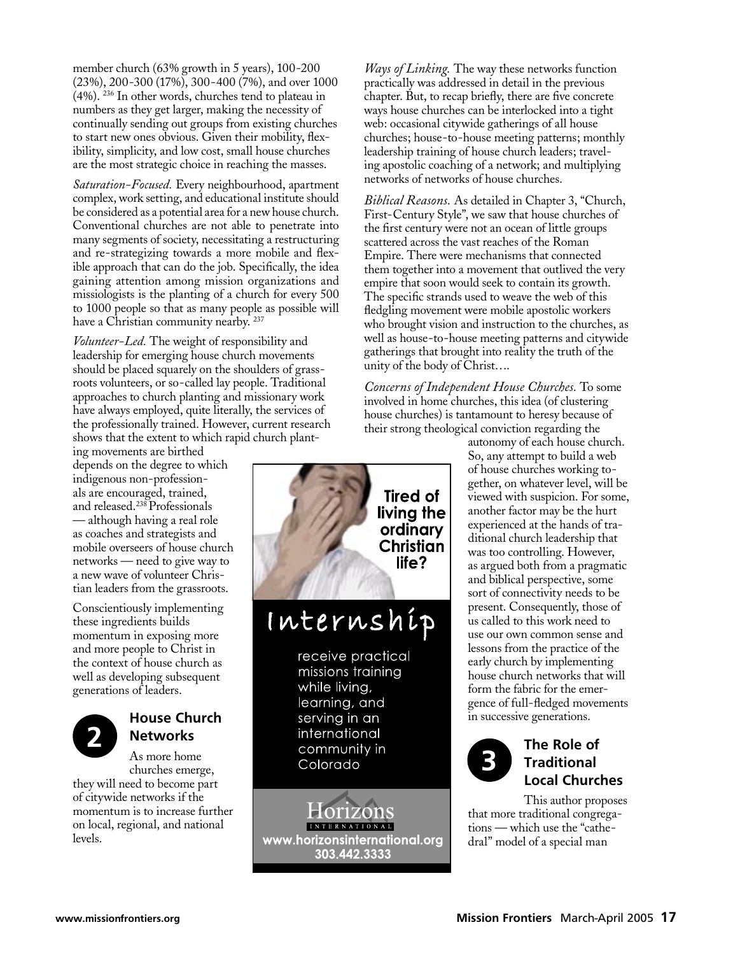member church (63% growth in 5 years), 100-200 (23%), 200-300 (17%), 300-400 (7%), and over 1000 (4%). 236 In other words, churches tend to plateau in numbers as they get larger, making the necessity of continually sending out groups from existing churches to start new ones obvious. Given their mobility, flexibility, simplicity, and low cost, small house churches are the most strategic choice in reaching the masses.

*Saturation-Focused.* Every neighbourhood, apartment complex, work setting, and educational institute should be considered as a potential area for a new house church. Conventional churches are not able to penetrate into many segments of society, necessitating a restructuring and re-strategizing towards a more mobile and flexible approach that can do the job. Specifically, the idea gaining attention among mission organizations and missiologists is the planting of a church for every 500 to 1000 people so that as many people as possible will have a Christian community nearby.<sup>237</sup>

*Volunteer-Led.* The weight of responsibility and leadership for emerging house church movements should be placed squarely on the shoulders of grassroots volunteers, or so-called lay people. Traditional approaches to church planting and missionary work have always employed, quite literally, the services of the professionally trained. However, current research shows that the extent to which rapid church plant-

ing movements are birthed depends on the degree to which indigenous non-professionals are encouraged, trained, and released.238 Professionals — although having a real role as coaches and strategists and mobile overseers of house church networks — need to give way to a new wave of volunteer Christian leaders from the grassroots.

Conscientiously implementing these ingredients builds momentum in exposing more and more people to Christ in the context of house church as well as developing subsequent generations of leaders.



## **House Church Networks**

As more home churches emerge,

they will need to become part of citywide networks if the momentum is to increase further on local, regional, and national levels.

*Ways of Linking.* The way these networks function practically was addressed in detail in the previous chapter. But, to recap briefly, there are five concrete ways house churches can be interlocked into a tight web: occasional citywide gatherings of all house churches; house-to-house meeting patterns; monthly leadership training of house church leaders; traveling apostolic coaching of a network; and multiplying networks of networks of house churches.

*Biblical Reasons.* As detailed in Chapter 3, "Church, First-Century Style", we saw that house churches of the first century were not an ocean of little groups scattered across the vast reaches of the Roman Empire. There were mechanisms that connected them together into a movement that outlived the very empire that soon would seek to contain its growth. The specific strands used to weave the web of this fledgling movement were mobile apostolic workers who brought vision and instruction to the churches, as well as house-to-house meeting patterns and citywide gatherings that brought into reality the truth of the unity of the body of Christ….

*Concerns of Independent House Churches.* To some involved in home churches, this idea (of clustering house churches) is tantamount to heresy because of their strong theological conviction regarding the



autonomy of each house church. So, any attempt to build a web of house churches working together, on whatever level, will be viewed with suspicion. For some, another factor may be the hurt experienced at the hands of traditional church leadership that was too controlling. However, as argued both from a pragmatic and biblical perspective, some sort of connectivity needs to be present. Consequently, those of us called to this work need to use our own common sense and lessons from the practice of the early church by implementing house church networks that will form the fabric for the emergence of full-fledged movements in successive generations.



# **The Role of Traditional Local Churches**

This author proposes that more traditional congregations — which use the "cathedral" model of a special man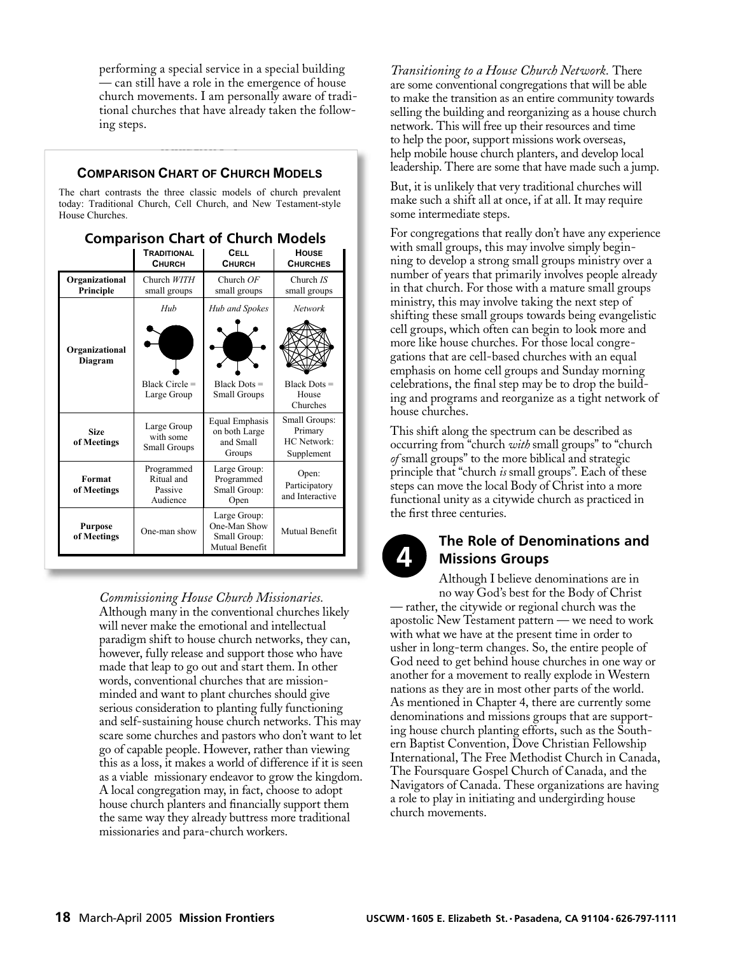performing a special service in a special building — can still have a role in the emergence of house church movements. I am personally aware of traditional churches that have already taken the following steps.

### **COMPARISON CHART OF CHURCH MODELS**

The chart contrasts the three classic models of church prevalent today: Traditional Church, Cell Church, and New Testament-style House Churches.

|                               | TRADITIONAL<br><b>CHURCH</b>                    | CFLL.<br>CHURCH                                                | <b>HOUSE</b><br><b>CHURCHES</b>                       |
|-------------------------------|-------------------------------------------------|----------------------------------------------------------------|-------------------------------------------------------|
| Organizational<br>Principle   | Church WITH<br>small groups                     | Church $OF$<br>small groups                                    | Church IS<br>small groups                             |
| Organizational<br>Diagram     | Hub                                             | Hub and Spokes                                                 | <b>Network</b>                                        |
|                               | Black Circle =<br>Large Group                   | $Black Dots =$<br><b>Small Groups</b>                          | Black Dots $=$<br>House<br>Churches                   |
| <b>Size</b><br>of Meetings    | Large Group<br>with some<br><b>Small Groups</b> | Equal Emphasis<br>on both Large<br>and Small<br>Groups         | Small Groups:<br>Primary<br>HC Network:<br>Supplement |
| Format<br>of Meetings         | Programmed<br>Ritual and<br>Passive<br>Audience | Large Group:<br>Programmed<br>Small Group:<br>Open             | Open:<br>Participatory<br>and Interactive             |
| <b>Purpose</b><br>of Meetings | One-man show                                    | Large Group:<br>One-Man Show<br>Small Group:<br>Mutual Benefit | Mutual Benefit                                        |

*Commissioning House Church Missionaries.*  Although many in the conventional churches likely will never make the emotional and intellectual paradigm shift to house church networks, they can, however, fully release and support those who have made that leap to go out and start them. In other words, conventional churches that are missionminded and want to plant churches should give serious consideration to planting fully functioning and self-sustaining house church networks. This may scare some churches and pastors who don't want to let go of capable people. However, rather than viewing this as a loss, it makes a world of difference if it is seen as a viable missionary endeavor to grow the kingdom. A local congregation may, in fact, choose to adopt house church planters and financially support them the same way they already buttress more traditional missionaries and para-church workers.

*Transitioning to a House Church Network.* There are some conventional congregations that will be able to make the transition as an entire community towards selling the building and reorganizing as a house church network. This will free up their resources and time to help the poor, support missions work overseas, help mobile house church planters, and develop local leadership. There are some that have made such a jump.

But, it is unlikely that very traditional churches will make such a shift all at once, if at all. It may require some intermediate steps.

For congregations that really don't have any experience with small groups, this may involve simply beginning to develop a strong small groups ministry over a number of years that primarily involves people already in that church. For those with a mature small groups ministry, this may involve taking the next step of shifting these small groups towards being evangelistic cell groups, which often can begin to look more and more like house churches. For those local congregations that are cell-based churches with an equal emphasis on home cell groups and Sunday morning celebrations, the final step may be to drop the building and programs and reorganize as a tight network of house churches.

This shift along the spectrum can be described as occurring from "church *with* small groups" to "church *of* small groups" to the more biblical and strategic principle that "church *is* small groups". Each of these steps can move the local Body of Christ into a more functional unity as a citywide church as practiced in the first three centuries.



## **The Role of Denominations and Missions Groups**

Although I believe denominations are in no way God's best for the Body of Christ — rather, the citywide or regional church was the apostolic New Testament pattern — we need to work with what we have at the present time in order to usher in long-term changes. So, the entire people of God need to get behind house churches in one way or another for a movement to really explode in Western nations as they are in most other parts of the world.

As mentioned in Chapter 4, there are currently some denominations and missions groups that are supporting house church planting efforts, such as the Southern Baptist Convention, Dove Christian Fellowship International, The Free Methodist Church in Canada, The Foursquare Gospel Church of Canada, and the Navigators of Canada. These organizations are having a role to play in initiating and undergirding house church movements.